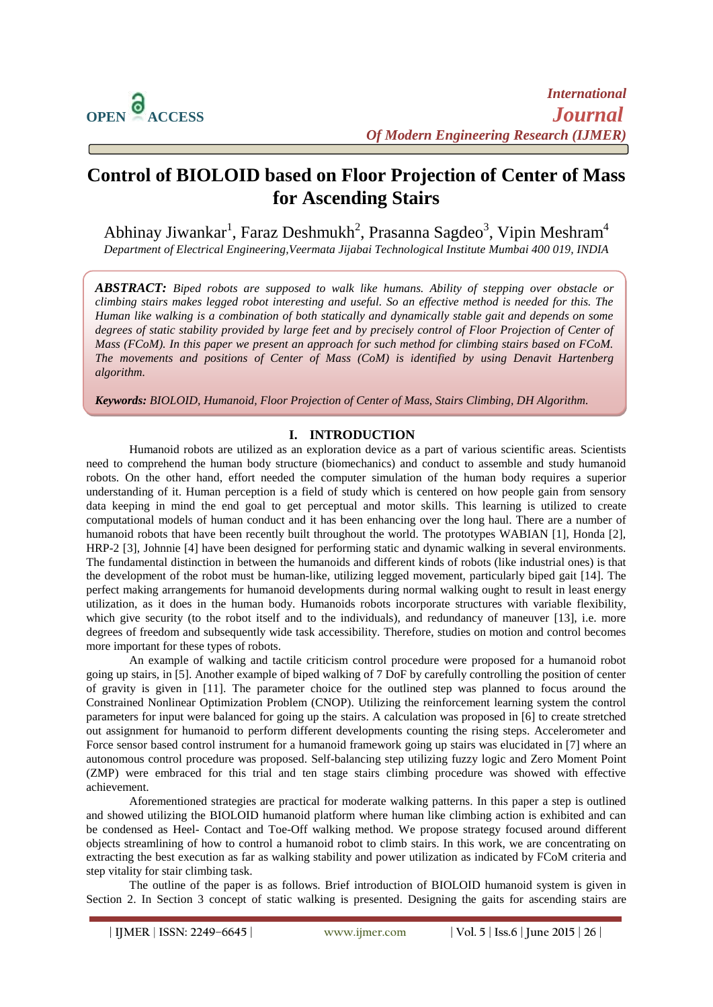$\overline{a}$ 

# **Control of BIOLOID based on Floor Projection of Center of Mass for Ascending Stairs**

Abhinay Jiwankar $^1$ , Faraz Deshmukh $^2$ , Prasanna Sagdeo $^3$ , Vipin Meshram $^4$ *Department of Electrical Engineering,Veermata Jijabai Technological Institute Mumbai 400 019, INDIA*

*ABSTRACT: Biped robots are supposed to walk like humans. Ability of stepping over obstacle or climbing stairs makes legged robot interesting and useful. So an effective method is needed for this. The Human like walking is a combination of both statically and dynamically stable gait and depends on some degrees of static stability provided by large feet and by precisely control of Floor Projection of Center of Mass (FCoM). In this paper we present an approach for such method for climbing stairs based on FCoM. The movements and positions of Center of Mass (CoM) is identified by using Denavit Hartenberg algorithm.*

*Keywords: BIOLOID, Humanoid, Floor Projection of Center of Mass, Stairs Climbing, DH Algorithm.*

## **I. INTRODUCTION**

Humanoid robots are utilized as an exploration device as a part of various scientific areas. Scientists need to comprehend the human body structure (biomechanics) and conduct to assemble and study humanoid robots. On the other hand, effort needed the computer simulation of the human body requires a superior understanding of it. Human perception is a field of study which is centered on how people gain from sensory data keeping in mind the end goal to get perceptual and motor skills. This learning is utilized to create computational models of human conduct and it has been enhancing over the long haul. There are a number of humanoid robots that have been recently built throughout the world. The prototypes WABIAN [1], Honda [2], HRP-2 [3], Johnnie [4] have been designed for performing static and dynamic walking in several environments. The fundamental distinction in between the humanoids and different kinds of robots (like industrial ones) is that the development of the robot must be human-like, utilizing legged movement, particularly biped gait [14]. The perfect making arrangements for humanoid developments during normal walking ought to result in least energy utilization, as it does in the human body. Humanoids robots incorporate structures with variable flexibility, which give security (to the robot itself and to the individuals), and redundancy of maneuver [13], i.e. more degrees of freedom and subsequently wide task accessibility. Therefore, studies on motion and control becomes more important for these types of robots.

An example of walking and tactile criticism control procedure were proposed for a humanoid robot going up stairs, in [5]. Another example of biped walking of 7 DoF by carefully controlling the position of center of gravity is given in [11]. The parameter choice for the outlined step was planned to focus around the Constrained Nonlinear Optimization Problem (CNOP). Utilizing the reinforcement learning system the control parameters for input were balanced for going up the stairs. A calculation was proposed in [6] to create stretched out assignment for humanoid to perform different developments counting the rising steps. Accelerometer and Force sensor based control instrument for a humanoid framework going up stairs was elucidated in [7] where an autonomous control procedure was proposed. Self-balancing step utilizing fuzzy logic and Zero Moment Point (ZMP) were embraced for this trial and ten stage stairs climbing procedure was showed with effective achievement.

Aforementioned strategies are practical for moderate walking patterns. In this paper a step is outlined and showed utilizing the BIOLOID humanoid platform where human like climbing action is exhibited and can be condensed as Heel- Contact and Toe-Off walking method. We propose strategy focused around different objects streamlining of how to control a humanoid robot to climb stairs. In this work, we are concentrating on extracting the best execution as far as walking stability and power utilization as indicated by FCoM criteria and step vitality for stair climbing task.

The outline of the paper is as follows. Brief introduction of BIOLOID humanoid system is given in Section 2. In Section 3 concept of static walking is presented. Designing the gaits for ascending stairs are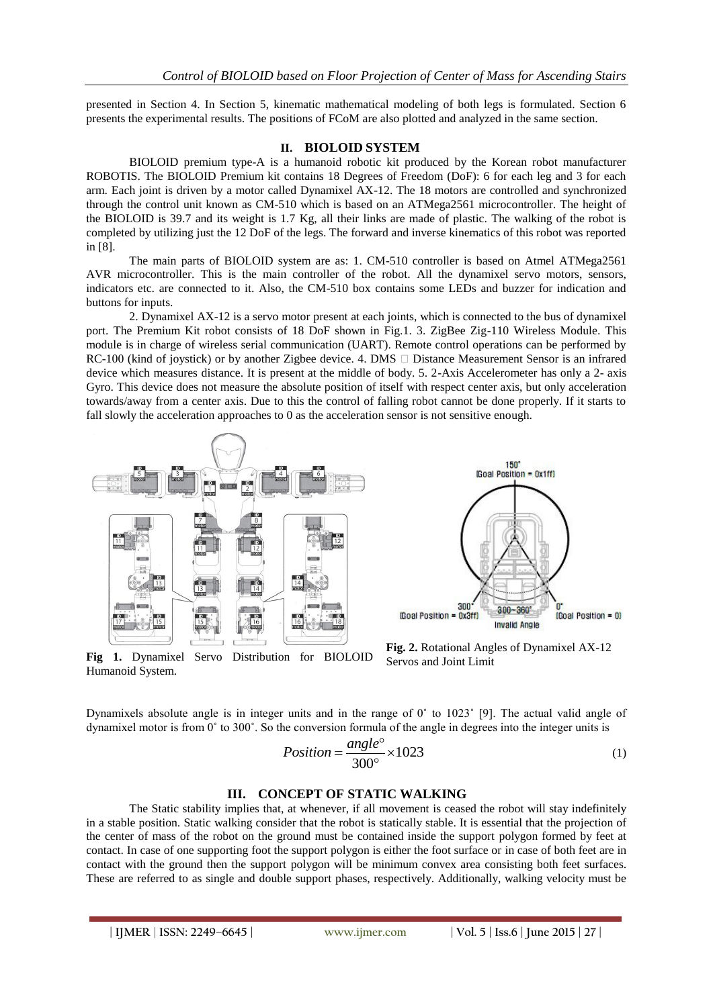presented in Section 4. In Section 5, kinematic mathematical modeling of both legs is formulated. Section 6 presents the experimental results. The positions of FCoM are also plotted and analyzed in the same section.

#### **II. BIOLOID SYSTEM**

BIOLOID premium type-A is a humanoid robotic kit produced by the Korean robot manufacturer ROBOTIS. The BIOLOID Premium kit contains 18 Degrees of Freedom (DoF): 6 for each leg and 3 for each arm. Each joint is driven by a motor called Dynamixel AX-12. The 18 motors are controlled and synchronized through the control unit known as CM-510 which is based on an ATMega2561 microcontroller. The height of the BIOLOID is 39.7 and its weight is 1.7 Kg, all their links are made of plastic. The walking of the robot is completed by utilizing just the 12 DoF of the legs. The forward and inverse kinematics of this robot was reported in [8].

The main parts of BIOLOID system are as: 1. CM-510 controller is based on Atmel ATMega2561 AVR microcontroller. This is the main controller of the robot. All the dynamixel servo motors, sensors, indicators etc. are connected to it. Also, the CM-510 box contains some LEDs and buzzer for indication and buttons for inputs.

2. Dynamixel AX-12 is a servo motor present at each joints, which is connected to the bus of dynamixel port. The Premium Kit robot consists of 18 DoF shown in Fig.1. 3. ZigBee Zig-110 Wireless Module. This module is in charge of wireless serial communication (UART). Remote control operations can be performed by RC-100 (kind of joystick) or by another Zigbee device. 4. DMS  $\Box$  Distance Measurement Sensor is an infrared device which measures distance. It is present at the middle of body. 5. 2-Axis Accelerometer has only a 2- axis Gyro. This device does not measure the absolute position of itself with respect center axis, but only acceleration towards/away from a center axis. Due to this the control of falling robot cannot be done properly. If it starts to fall slowly the acceleration approaches to 0 as the acceleration sensor is not sensitive enough.







**Fig. 2.** Rotational Angles of Dynamixel AX-12 Servos and Joint Limit

Dynamixels absolute angle is in integer units and in the range of 0˚ to 1023˚ [9]. The actual valid angle of dynamixel motor is from 0˚ to 300˚. So the conversion formula of the angle in degrees into the integer units is

$$
Position = \frac{angle^{\circ}}{300^{\circ}} \times 1023
$$
 (1)

#### **III. CONCEPT OF STATIC WALKING**

The Static stability implies that, at whenever, if all movement is ceased the robot will stay indefinitely in a stable position. Static walking consider that the robot is statically stable. It is essential that the projection of the center of mass of the robot on the ground must be contained inside the support polygon formed by feet at contact. In case of one supporting foot the support polygon is either the foot surface or in case of both feet are in contact with the ground then the support polygon will be minimum convex area consisting both feet surfaces. These are referred to as single and double support phases, respectively. Additionally, walking velocity must be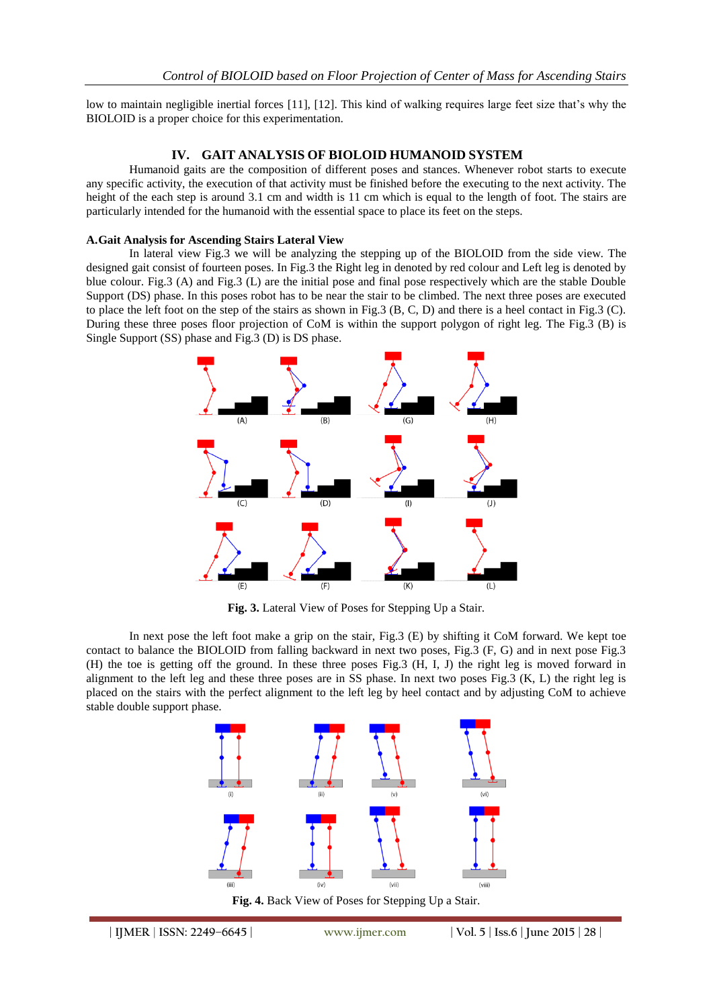low to maintain negligible inertial forces [11], [12]. This kind of walking requires large feet size that's why the BIOLOID is a proper choice for this experimentation.

## **IV. GAIT ANALYSIS OF BIOLOID HUMANOID SYSTEM**

Humanoid gaits are the composition of different poses and stances. Whenever robot starts to execute any specific activity, the execution of that activity must be finished before the executing to the next activity. The height of the each step is around 3.1 cm and width is 11 cm which is equal to the length of foot. The stairs are particularly intended for the humanoid with the essential space to place its feet on the steps.

### **A.Gait Analysis for Ascending Stairs Lateral View**

In lateral view Fig.3 we will be analyzing the stepping up of the BIOLOID from the side view. The designed gait consist of fourteen poses. In Fig.3 the Right leg in denoted by red colour and Left leg is denoted by blue colour. Fig.3 (A) and Fig.3 (L) are the initial pose and final pose respectively which are the stable Double Support (DS) phase. In this poses robot has to be near the stair to be climbed. The next three poses are executed to place the left foot on the step of the stairs as shown in Fig.3 (B, C, D) and there is a heel contact in Fig.3 (C). During these three poses floor projection of CoM is within the support polygon of right leg. The Fig.3 (B) is Single Support (SS) phase and Fig.3 (D) is DS phase.



**Fig. 3.** Lateral View of Poses for Stepping Up a Stair.

In next pose the left foot make a grip on the stair, Fig.3 (E) by shifting it CoM forward. We kept toe contact to balance the BIOLOID from falling backward in next two poses, Fig.3 (F, G) and in next pose Fig.3 (H) the toe is getting off the ground. In these three poses Fig.3 (H, I, J) the right leg is moved forward in alignment to the left leg and these three poses are in SS phase. In next two poses Fig.3 (K, L) the right leg is placed on the stairs with the perfect alignment to the left leg by heel contact and by adjusting CoM to achieve stable double support phase.



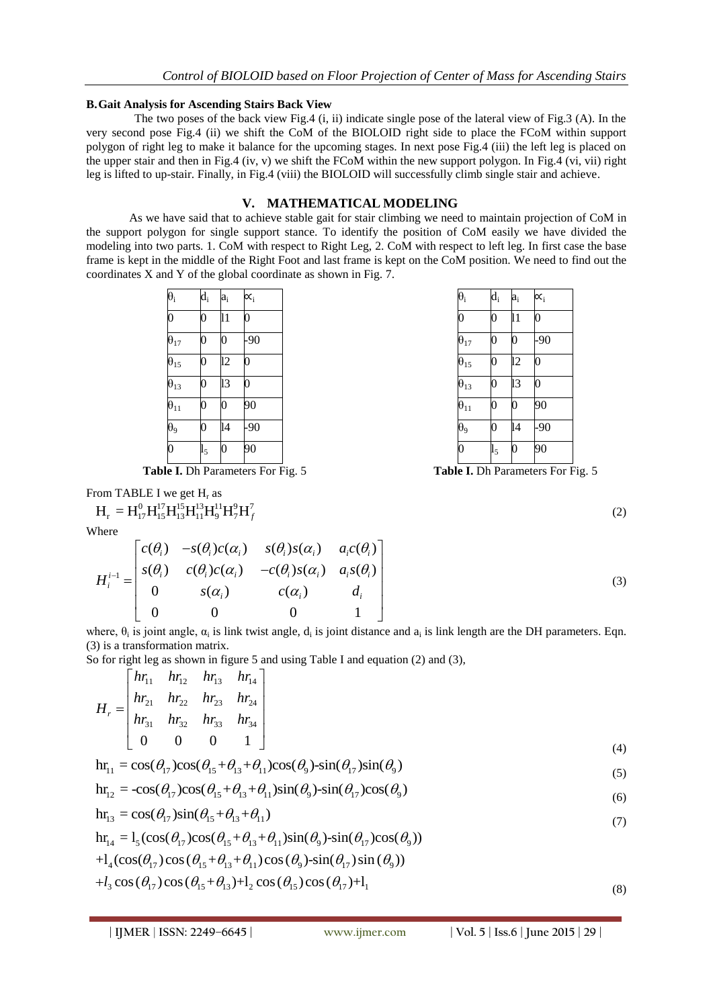### **B.Gait Analysis for Ascending Stairs Back View**

The two poses of the back view Fig.4 (i, ii) indicate single pose of the lateral view of Fig.3 (A). In the very second pose Fig.4 (ii) we shift the CoM of the BIOLOID right side to place the FCoM within support polygon of right leg to make it balance for the upcoming stages. In next pose Fig.4 (iii) the left leg is placed on the upper stair and then in Fig.4 (iv, v) we shift the FCoM within the new support polygon. In Fig.4 (vi, vii) right leg is lifted to up-stair. Finally, in Fig.4 (viii) the BIOLOID will successfully climb single stair and achieve.

## **V. MATHEMATICAL MODELING**

As we have said that to achieve stable gait for stair climbing we need to maintain projection of CoM in the support polygon for single support stance. To identify the position of CoM easily we have divided the modeling into two parts. 1. CoM with respect to Right Leg, 2. CoM with respect to left leg. In first case the base frame is kept in the middle of the Right Foot and last frame is kept on the CoM position. We need to find out the coordinates X and Y of the global coordinate as shown in Fig. 7.

| $\theta_i$               | $\overline{d}_i$ | $a_i$           | $\alpha_{i}$   |
|--------------------------|------------------|-----------------|----------------|
| $\overline{0}$           | $\overline{0}$   | 11              | $\overline{0}$ |
| $\bar{\theta}_{17}$      | $\overline{0}$   | $\overline{0}$  | .90            |
| $\bar{\theta}_{15}$      | $\overline{0}$   | $\overline{12}$ | $\overline{0}$ |
| $\hat{\theta}_{13}$      | $\overline{0}$   | 13              | $\overline{0}$ |
| $\overline{\theta}_{11}$ | $\overline{0}$   | $\overline{0}$  | 90             |
| $\overline{\theta_9}$    | 0                | $\overline{14}$ | .90            |
| $\overline{0}$           | $_{15}$          | $\overline{0}$  | 90             |

**Table I.** Dh Parameters For Fig. 5

From TABLE I we get H<sub>r</sub> as  
\n
$$
H_r = H_{17}^0 H_{15}^{17} H_{13}^{15} H_{11}^{13} H_9^{11} H_7^9 H_f^7
$$

Where

There  
\n
$$
H_{i}^{i-1} = \begin{bmatrix} c(\theta_{i}) & -s(\theta_{i})c(\alpha_{i}) & s(\theta_{i})s(\alpha_{i}) & a_{i}c(\theta_{i}) \\ s(\theta_{i}) & c(\theta_{i})c(\alpha_{i}) & -c(\theta_{i})s(\alpha_{i}) & a_{i}s(\theta_{i}) \\ 0 & s(\alpha_{i}) & c(\alpha_{i}) & d_{i} \\ 0 & 0 & 0 & 1 \end{bmatrix}
$$
\n(3)

where,  $\theta_i$  is joint angle,  $\alpha_i$  is link twist angle,  $d_i$  is joint distance and  $a_i$  is link length are the DH parameters. Eqn. (3) is a transformation matrix.

So for right leg as shown in figure 5 and using Table I and equation (2) and (3),  
\n
$$
H_r = \begin{bmatrix} hr_{11} & hr_{12} & hr_{13} & hr_{14} \ hr_{22} & hr_{23} & hr_{24} \ hr_{31} & hr_{32} & hr_{33} & hr_{34} \ \hline 0 & 0 & 0 & 1 \end{bmatrix}
$$
\n
$$
H_{11} = \cos(\theta_{17})\cos(\theta_{15} + \theta_{13} + \theta_{11})\cos(\theta_9) - \sin(\theta_{17})\sin(\theta_9)
$$
\n(4)

$$
\mathbf{h}\mathbf{r}_{11} = \cos(\theta_{17})\cos(\theta_{15} + \theta_{13} + \theta_{11})\cos(\theta_9) - \sin(\theta_{17})\sin(\theta_9)
$$
\n(5)

$$
\ln r_{11} = \cos(\theta_{17})\cos(\theta_{15} + \theta_{13} + \theta_{11})\cos(\theta_9) - \sin(\theta_{17})\sin(\theta_9)
$$
\n
$$
\ln r_{12} = -\cos(\theta_{17})\cos(\theta_{15} + \theta_{13} + \theta_{11})\sin(\theta_9) - \sin(\theta_{17})\cos(\theta_9)
$$
\n(5)

$$
\ln_{13} = \cos(\theta_{17})\sin(\theta_{15} + \theta_{13} + \theta_{11})
$$
\n(6)

$$
\ln \ln \frac{1}{100} + \ln \frac{1}{100} + \ln \frac{1}{100} + \ln \frac{1}{100} + \ln \frac{1}{100} + \ln \frac{1}{100} + \ln \frac{1}{100} + \ln \frac{1}{100} + \ln \frac{1}{100} + \ln \frac{1}{100} + \ln \frac{1}{100} + \ln \frac{1}{100} + \ln \frac{1}{100} + \ln \frac{1}{100} + \ln \frac{1}{100} + \ln \frac{1}{100} + \ln \frac{1}{100} + \ln \frac{1}{100} + \ln \frac{1}{100} + \ln \frac{1}{100} + \ln \frac{1}{100} + \ln \frac{1}{100} + \ln \frac{1}{100} + \ln \frac{1}{100} + \ln \frac{1}{100} + \ln \frac{1}{100} + \ln \frac{1}{100} + \ln \frac{1}{100} + \ln \frac{1}{100} + \ln \frac{1}{100} + \ln \frac{1}{100} + \ln \frac{1}{100} + \ln \frac{1}{100} + \ln \frac{1}{100} + \ln \frac{1}{100} + \ln \frac{1}{100} + \ln \frac{1}{100} + \ln \frac{1}{100} + \ln \frac{1}{100} + \ln \frac{1}{100} + \ln \frac{1}{100} + \ln \frac{1}{100} + \ln \frac{1}{100} + \ln \frac{1}{100} + \ln \frac{1}{100} + \ln \frac{1}{100} + \ln \frac{1}{100} + \ln \frac{1}{100} + \ln \frac{1}{100} + \ln \frac{1}{100} + \ln \frac{1}{100} + \ln \frac{1}{100} + \ln \frac{1}{100} + \ln \frac{1}{100} + \ln \frac{1}{100} + \ln \frac{1}{100} + \ln \frac{1}{100} + \ln \frac{1}{100} + \ln \frac{1}{100} + \ln \frac{1}{100} + \ln \frac{1}{100} + \ln \frac{1}{100} + \ln \frac{1}{100} + \ln
$$

$$
+l_3 \cos(\theta_{17}) \cos(\theta_{15}+\theta_{13})+l_2 \cos(\theta_{15}) \cos(\theta_{17})+l_1
$$

| $\overline{0}$           | $\overline{0}$ | 11              | $\overline{0}$ |
|--------------------------|----------------|-----------------|----------------|
| $\theta_{17}$            | $\overline{0}$ | $\overline{0}$  | $-90$          |
| $\theta_{15}$            | $\overline{0}$ | $\overline{12}$ | $\overline{0}$ |
| $\theta_{13}$            | 0              | 13              | $\overline{0}$ |
| $\overline{\theta}_{11}$ | $\overline{0}$ | $\overline{0}$  | 90             |
| $\theta_9$               | $\overline{0}$ | 14              | $-90$          |
| $\overline{0}$           | $l_5$          | $\overline{0}$  | 90             |

θ<sup>i</sup> d<sup>i</sup> a<sup>i</sup> ∝<sup>i</sup>

**Table I.** Dh Parameters For Fig. 5

(2)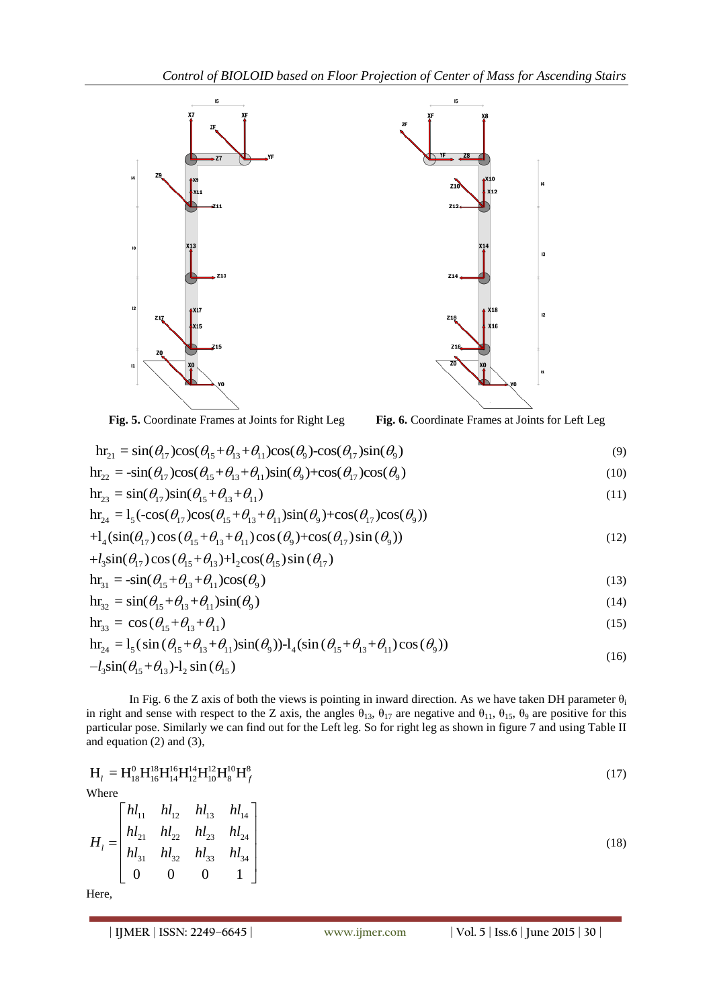

**Fig. 5.** Coordinate Frames at Joints for Right Leg  
\n
$$
\ln z_1 = \sin(\theta_{17})\cos(\theta_{15} + \theta_{13} + \theta_{11})\cos(\theta_9) - \cos(\theta_{17})\sin(\theta_9)
$$
\n
$$
\ln z_2 = -\sin(\theta_{17})\cos(\theta_{15} + \theta_{13} + \theta_{11})\sin(\theta_9) + \cos(\theta_{17})\cos(\theta_9)
$$
\n(10)

$$
\begin{aligned} \n\mathbf{h}_{22} &= -\sin(\theta_{17})\cos(\theta_{15} + \theta_{13} + \theta_{11})\sin(\theta_{9}) + \cos(\theta_{17})\cos(\theta_{9}) \\ \n\mathbf{h}_{23} &= \sin(\theta_{17})\sin(\theta_{15} + \theta_{13} + \theta_{11}) \n\end{aligned} \tag{11}
$$

$$
\begin{aligned}\n\text{H}_{22} &= -\sin(\theta_{17})\cos(\theta_{15} + \theta_{13} + \theta_{11})\sin(\theta_9) + \cos(\theta_{17})\cos(\theta_9) \\
\text{hr}_{23} &= \sin(\theta_{17})\sin(\theta_{15} + \theta_{13} + \theta_{11})\n\end{aligned}\n\tag{10}
$$
\n
$$
\begin{aligned}\n\text{hr}_{24} &= \text{I}_5(-\cos(\theta_{17})\cos(\theta_{15} + \theta_{13} + \theta_{11})\sin(\theta_9) + \cos(\theta_{17})\cos(\theta_9)) \\
&\quad + \text{I}_4(\sin(\theta_{17})\cos(\theta_{15} + \theta_{13} + \theta_{11})\cos(\theta_9) + \cos(\theta_{17})\sin(\theta_9))\n\end{aligned}\n\tag{12}
$$

$$
\begin{aligned}\n&\text{if } \mu_{24} = I_5(\text{cos}(\upsilon_{17})\text{cos}(\upsilon_{15} + \upsilon_{13} + \upsilon_{11})\text{sin}(\upsilon_9) + \text{cos}(\upsilon_{17})\text{cos}(\upsilon_9)) \\
&+ I_4(\text{sin}(\theta_{17})\text{cos}(\theta_{15} + \theta_{13} + \theta_{11})\text{cos}(\theta_9) + \text{cos}(\theta_{17})\text{sin}(\theta_9)) \\
&+ I_3\text{sin}(\theta_{17})\text{cos}(\theta_{15} + \theta_{13}) + I_2\text{cos}(\theta_{15})\text{sin}(\theta_{17})\n\end{aligned}\n\tag{12}
$$

$$
+t_3 \sin(\theta_{17}) \cos(\theta_{15} + \theta_{13}) + 1_2 \cos(\theta_{15}) \sin(\theta_{17})
$$
  
\n
$$
hr_{31} = -\sin(\theta_{15} + \theta_{13} + \theta_{11}) \cos(\theta_9)
$$
\n(13)

$$
\mathbf{h}_{31} = -\sin(\theta_{15} + \theta_{13} + \theta_{11})\cos(\theta_9)
$$
\n
$$
\mathbf{h}_{32} = \sin(\theta_{15} + \theta_{13} + \theta_{11})\sin(\theta_9)
$$
\n(14)

$$
hr_{33} = \cos(\theta_{15} + \theta_{13} + \theta_{11})
$$
 (15)

$$
\begin{aligned}\n\text{hr}_{32} &= \sin(\theta_{15} + \theta_{13} + \theta_{11}) \sin(\theta_9) \\
\text{hr}_{33} &= \cos(\theta_{15} + \theta_{13} + \theta_{11}) \\
\text{hr}_{24} &= l_5 (\sin(\theta_{15} + \theta_{13} + \theta_{11}) \sin(\theta_9)) - l_4 (\sin(\theta_{15} + \theta_{13} + \theta_{11}) \cos(\theta_9)) \\
&- l_3 \sin(\theta_{15} + \theta_{13}) - l_2 \sin(\theta_{15})\n\end{aligned}\n\tag{16}
$$

In Fig. 6 the Z axis of both the views is pointing in inward direction. As we have taken DH parameter  $\theta_i$ in right and sense with respect to the Z axis, the angles  $\theta_{13}$ ,  $\theta_{17}$  are negative and  $\theta_{11}$ ,  $\theta_{15}$ ,  $\theta_{9}$  are positive for this particular pose. Similarly we can find out for the Left leg. So for right leg as shown in figure 7 and using Table II and equation (2) and (3),

$$
H_{l} = H_{18}^{0} H_{16}^{18} H_{14}^{16} H_{12}^{14} H_{10}^{12} H_{8}^{10} H_{f}^{8}
$$
  
\nWhere  
\n
$$
H_{l} = \begin{bmatrix} h l_{11} & h l_{12} & h l_{13} & h l_{14} \\ h l_{21} & h l_{22} & h l_{23} & h l_{24} \\ h l_{31} & h l_{32} & h l_{33} & h l_{34} \\ 0 & 0 & 0 & 1 \end{bmatrix}
$$
 (18)  
\nHere,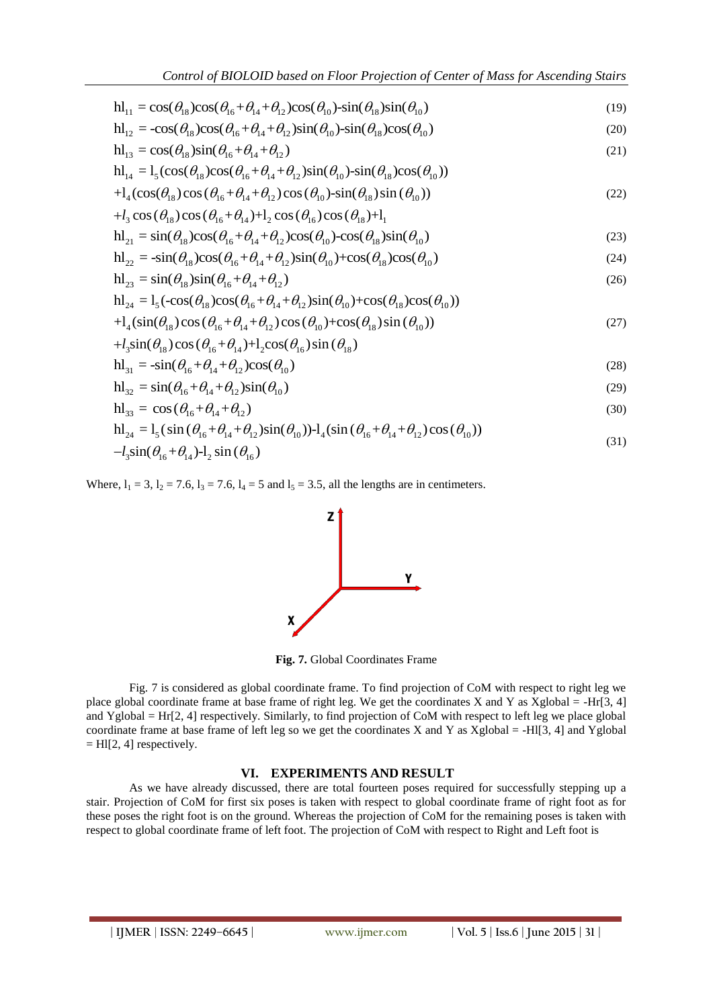$$
Control of BIOLOID based on Floor Projection of Center of Mass for Ascending Stairs
$$
  
\n
$$
hl_{11} = \cos(\theta_{18})\cos(\theta_{16} + \theta_{14} + \theta_{12})\cos(\theta_{10}) - \sin(\theta_{18})\sin(\theta_{10})
$$
\n(19)

$$
hl_{11} = \cos(\theta_{18})\cos(\theta_{16} + \theta_{14} + \theta_{12})\cos(\theta_{10}) - \sin(\theta_{18})\sin(\theta_{10})
$$
\n
$$
hl_{12} = -\cos(\theta_{18})\cos(\theta_{16} + \theta_{14} + \theta_{12})\sin(\theta_{10}) - \sin(\theta_{18})\cos(\theta_{10})
$$
\n(19)

$$
\begin{aligned}\n\mathbf{h}_{12} &= -\cos(\theta_{18})\cos(\theta_{16} + \theta_{14} + \theta_{12})\sin(\theta_{10}) - \sin(\theta_{18})\cos(\theta_{10}) \\
\mathbf{h}_{13} &= \cos(\theta_{18})\sin(\theta_{16} + \theta_{14} + \theta_{12})\n\end{aligned}\n\tag{21}
$$

$$
\begin{aligned}\n\mathbf{h}_{12} &= -\cos(\theta_{18})\cos(\theta_{16} + \theta_{14} + \theta_{12})\sin(\theta_{10}) - \sin(\theta_{18})\cos(\theta_{10}) \\
\mathbf{h}_{13} &= \cos(\theta_{18})\sin(\theta_{16} + \theta_{14} + \theta_{12}) \\
\mathbf{h}_{14} &= 1_5(\cos(\theta_{18})\cos(\theta_{16} + \theta_{14} + \theta_{12})\sin(\theta_{10}) - \sin(\theta_{18})\cos(\theta_{10})) \\
&\quad + 1_4(\cos(\theta_{18})\cos(\theta_{16} + \theta_{14} + \theta_{12})\cos(\theta_{10}) - \sin(\theta_{18})\sin(\theta_{10}))\n\end{aligned}\n\tag{22}
$$

$$
H_{14} = I_{5}(\cos(\theta_{18})\cos(\theta_{16} + \theta_{14} + \theta_{12})\sin(\theta_{10})\sin(\theta_{18})\cos(\theta_{10}))
$$
  
+
$$
I_{4}(\cos(\theta_{18})\cos(\theta_{16} + \theta_{14} + \theta_{12})\cos(\theta_{10})\sin(\theta_{18})\sin(\theta_{10}))
$$
  
+
$$
I_{3}\cos(\theta_{18})\cos(\theta_{16} + \theta_{14})+I_{2}\cos(\theta_{16})\cos(\theta_{18})+I_{1}
$$
  

$$
H_{21} = \sin(\theta_{18})\cos(\theta_{16} + \theta_{14} + \theta_{12})\cos(\theta_{10})\cos(\theta_{18})\sin(\theta_{10})
$$
(23)

$$
nl_{21} = \sin(\theta_{18})\cos(\theta_{16} + \theta_{14} + \theta_{12})\cos(\theta_{10}) - \cos(\theta_{18})\sin(\theta_{10})
$$
\n(23)

$$
+t_3 \cos(\theta_{18}) \cos(\theta_{16} + \theta_{14}) + t_2 \cos(\theta_{16}) \cos(\theta_{18}) + t_1
$$
  
\n
$$
h_2 = \sin(\theta_{18}) \cos(\theta_{16} + \theta_{14} + \theta_{12}) \cos(\theta_{10}) - \cos(\theta_{18}) \sin(\theta_{10})
$$
\n
$$
h_2 = -\sin(\theta_{18}) \cos(\theta_{16} + \theta_{14} + \theta_{12}) \sin(\theta_{10}) + \cos(\theta_{18}) \cos(\theta_{10})
$$
\n(24)

$$
\begin{aligned}\n\mathbf{h}_{22} &= -\sin(\theta_{18})\cos(\theta_{16} + \theta_{14} + \theta_{12})\sin(\theta_{10}) + \cos(\theta_{18})\cos(\theta_{10}) \\
\mathbf{h}_{23} &= \sin(\theta_{18})\sin(\theta_{16} + \theta_{14} + \theta_{12})\n\end{aligned}\n\tag{26}
$$

$$
m_{22} = -\sin(\theta_{18})\cos(\theta_{16} + \theta_{14} + \theta_{12})\sin(\theta_{10}) + \cos(\theta_{18})\cos(\theta_{10})
$$
\n
$$
m_{23} = \sin(\theta_{18})\sin(\theta_{16} + \theta_{14} + \theta_{12})
$$
\n
$$
m_{24} = l_5(-\cos(\theta_{18})\cos(\theta_{16} + \theta_{14} + \theta_{12})\sin(\theta_{10}) + \cos(\theta_{18})\cos(\theta_{10}))
$$
\n
$$
+ l_4(\sin(\theta_{18})\cos(\theta_{16} + \theta_{14} + \theta_{12})\cos(\theta_{10}) + \cos(\theta_{18})\sin(\theta_{10}))
$$
\n
$$
+ l_3\sin(\theta_{18})\cos(\theta_{16} + \theta_{14}) + l_2\cos(\theta_{16})\sin(\theta_{18})
$$
\n(27)

$$
+l_{3}\sin(\theta_{18})\cos(\theta_{16}+\theta_{14})+l_{2}\cos(\theta_{16})\sin(\theta_{18})
$$
\n
$$
+l_{3}\sin(\theta_{18})\cos(\theta_{16}+\theta_{14})+l_{2}\cos(\theta_{16})\sin(\theta_{18})
$$

$$
h l_{31} = -\sin(\theta_{16} + \theta_{14} + \theta_{12})\cos(\theta_{10})
$$
\n(28)

$$
\mathbf{h}_{31} = -\sin(\theta_{16} + \theta_{14} + \theta_{12})\cos(\theta_{10})
$$
\n
$$
\mathbf{h}_{32} = \sin(\theta_{16} + \theta_{14} + \theta_{12})\sin(\theta_{10})
$$
\n(29)

$$
hI_{33} = \cos(\theta_{16} + \theta_{14} + \theta_{12})
$$
 (30)

$$
h_{32}^{1} = \sin(\theta_{16} + \theta_{14} + \theta_{12})\sin(\theta_{10})
$$
\n(29)  
\n
$$
h_{33}^{1} = \cos(\theta_{16} + \theta_{14} + \theta_{12})
$$
\n(30)  
\n
$$
h_{24}^{1} = l_5(\sin(\theta_{16} + \theta_{14} + \theta_{12})\sin(\theta_{10})) - l_4(\sin(\theta_{16} + \theta_{14} + \theta_{12})\cos(\theta_{10}))
$$
\n(31)  
\n
$$
-l_3\sin(\theta_{16} + \theta_{14}) - l_2\sin(\theta_{16})
$$

Where,  $l_1 = 3$ ,  $l_2 = 7.6$ ,  $l_3 = 7.6$ ,  $l_4 = 5$  and  $l_5 = 3.5$ , all the lengths are in centimeters.



**Fig. 7.** Global Coordinates Frame

Fig. 7 is considered as global coordinate frame. To find projection of CoM with respect to right leg we place global coordinate frame at base frame of right leg. We get the coordinates X and Y as Xglobal = -Hr[3, 4] and Yglobal = Hr[2, 4] respectively. Similarly, to find projection of CoM with respect to left leg we place global coordinate frame at base frame of left leg so we get the coordinates X and Y as Xglobal = -HI[3, 4] and Yglobal  $=$  HI[2, 4] respectively.

## **VI. EXPERIMENTS AND RESULT**

As we have already discussed, there are total fourteen poses required for successfully stepping up a stair. Projection of CoM for first six poses is taken with respect to global coordinate frame of right foot as for these poses the right foot is on the ground. Whereas the projection of CoM for the remaining poses is taken with respect to global coordinate frame of left foot. The projection of CoM with respect to Right and Left foot is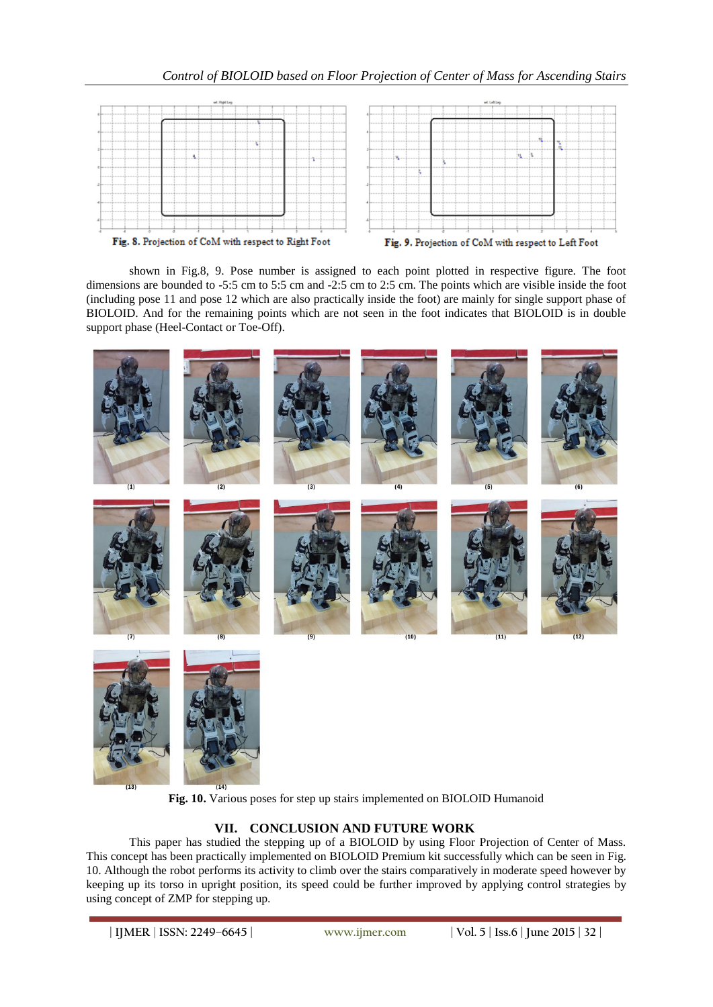

shown in Fig.8, 9. Pose number is assigned to each point plotted in respective figure. The foot dimensions are bounded to -5:5 cm to 5:5 cm and -2:5 cm to 2:5 cm. The points which are visible inside the foot (including pose 11 and pose 12 which are also practically inside the foot) are mainly for single support phase of BIOLOID. And for the remaining points which are not seen in the foot indicates that BIOLOID is in double support phase (Heel-Contact or Toe-Off).



**Fig. 10.** Various poses for step up stairs implemented on BIOLOID Humanoid

# **VII. CONCLUSION AND FUTURE WORK**

This paper has studied the stepping up of a BIOLOID by using Floor Projection of Center of Mass. This concept has been practically implemented on BIOLOID Premium kit successfully which can be seen in Fig. 10. Although the robot performs its activity to climb over the stairs comparatively in moderate speed however by keeping up its torso in upright position, its speed could be further improved by applying control strategies by using concept of ZMP for stepping up.